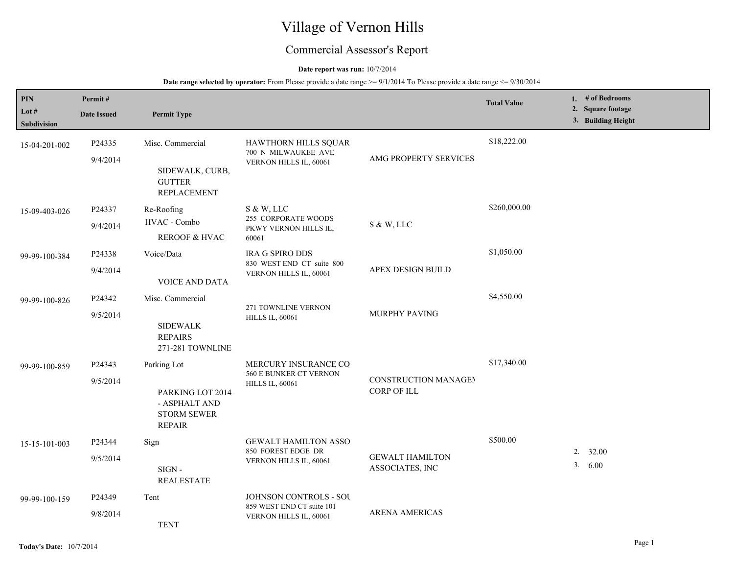# Village of Vernon Hills

# Commercial Assessor's Report

### **Date report was run:** 10/7/2014

| PIN<br>Lot #<br>Subdivision | Permit#<br><b>Date Issued</b> | <b>Permit Type</b>                                                                      |                                                                               |                                            | <b>Total Value</b> | 1. # of Bedrooms<br>2. Square footage<br>3. Building Height |
|-----------------------------|-------------------------------|-----------------------------------------------------------------------------------------|-------------------------------------------------------------------------------|--------------------------------------------|--------------------|-------------------------------------------------------------|
| 15-04-201-002               | P24335<br>9/4/2014            | Misc. Commercial<br>SIDEWALK, CURB,<br><b>GUTTER</b><br><b>REPLACEMENT</b>              | <b>HAWTHORN HILLS SQUAR</b><br>700 N MILWAUKEE AVE<br>VERNON HILLS IL, 60061  | AMG PROPERTY SERVICES                      | \$18,222.00        |                                                             |
| 15-09-403-026               | P24337<br>9/4/2014            | Re-Roofing<br>HVAC - Combo<br><b>REROOF &amp; HVAC</b>                                  | S & W, LLC<br>255 CORPORATE WOODS<br>PKWY VERNON HILLS IL,<br>60061           | S & W, LLC                                 | \$260,000.00       |                                                             |
| 99-99-100-384               | P24338<br>9/4/2014            | Voice/Data<br>VOICE AND DATA                                                            | IRA G SPIRO DDS<br>830 WEST END CT suite 800<br>VERNON HILLS IL, 60061        | APEX DESIGN BUILD                          | \$1,050.00         |                                                             |
| 99-99-100-826               | P24342<br>9/5/2014            | Misc. Commercial<br><b>SIDEWALK</b><br><b>REPAIRS</b><br>271-281 TOWNLINE               | 271 TOWNLINE VERNON<br><b>HILLS IL, 60061</b>                                 | MURPHY PAVING                              | \$4,550.00         |                                                             |
| 99-99-100-859               | P24343<br>9/5/2014            | Parking Lot<br>PARKING LOT 2014<br>- ASPHALT AND<br><b>STORM SEWER</b><br><b>REPAIR</b> | MERCURY INSURANCE CO<br>560 E BUNKER CT VERNON<br><b>HILLS IL, 60061</b>      | CONSTRUCTION MANAGEM<br><b>CORP OF ILL</b> | \$17,340.00        |                                                             |
| 15-15-101-003               | P24344<br>9/5/2014            | Sign<br>$\rm{SIGN}$ -<br><b>REALESTATE</b>                                              | <b>GEWALT HAMILTON ASSO</b><br>850 FOREST EDGE DR<br>VERNON HILLS IL, 60061   | <b>GEWALT HAMILTON</b><br>ASSOCIATES, INC  | \$500.00           | 2.32.00<br>3. 6.00                                          |
| 99-99-100-159               | P24349<br>9/8/2014            | Tent<br><b>TENT</b>                                                                     | JOHNSON CONTROLS - SOU<br>859 WEST END CT suite 101<br>VERNON HILLS IL, 60061 | <b>ARENA AMERICAS</b>                      |                    |                                                             |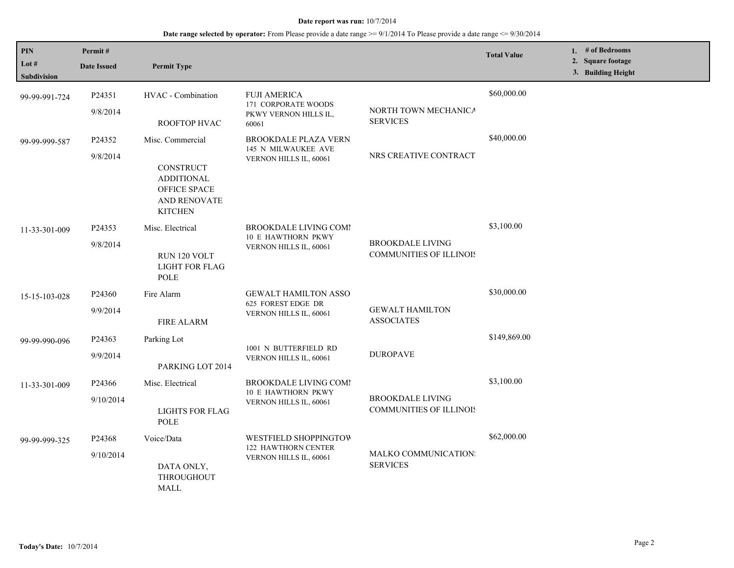| <b>PIN</b><br>Lot $#$<br><b>Subdivision</b> | Permit#<br><b>Date Issued</b>   | <b>Permit Type</b>                                                                                   |                                                                                     |                                                           | <b>Total Value</b> | 1. # of Bedrooms<br>2. Square footage<br>3. Building Height |  |
|---------------------------------------------|---------------------------------|------------------------------------------------------------------------------------------------------|-------------------------------------------------------------------------------------|-----------------------------------------------------------|--------------------|-------------------------------------------------------------|--|
| 99-99-991-724                               | P24351<br>9/8/2014              | HVAC - Combination<br>ROOFTOP HVAC                                                                   | <b>FUJI AMERICA</b><br>171 CORPORATE WOODS<br>PKWY VERNON HILLS IL,<br>60061        | NORTH TOWN MECHANICA<br><b>SERVICES</b>                   | \$60,000.00        |                                                             |  |
| 99-99-999-587                               | P24352<br>9/8/2014              | Misc. Commercial<br>CONSTRUCT<br><b>ADDITIONAL</b><br>OFFICE SPACE<br>AND RENOVATE<br><b>KITCHEN</b> | BROOKDALE PLAZA VERN<br>145 N MILWAUKEE AVE<br>VERNON HILLS IL, 60061               | NRS CREATIVE CONTRACT                                     | \$40,000.00        |                                                             |  |
| 11-33-301-009                               | P24353<br>9/8/2014              | Misc. Electrical<br>RUN 120 VOLT<br><b>LIGHT FOR FLAG</b><br>POLE                                    | <b>BROOKDALE LIVING COMI</b><br><b>10 E HAWTHORN PKWY</b><br>VERNON HILLS IL, 60061 | <b>BROOKDALE LIVING</b><br><b>COMMUNITIES OF ILLINOIS</b> | \$3,100.00         |                                                             |  |
| 15-15-103-028                               | P <sub>24360</sub><br>9/9/2014  | Fire Alarm<br><b>FIRE ALARM</b>                                                                      | <b>GEWALT HAMILTON ASSO</b><br>625 FOREST EDGE DR<br>VERNON HILLS IL, 60061         | <b>GEWALT HAMILTON</b><br><b>ASSOCIATES</b>               | \$30,000.00        |                                                             |  |
| 99-99-990-096                               | P24363<br>9/9/2014              | Parking Lot<br>PARKING LOT 2014                                                                      | 1001 N BUTTERFIELD RD<br>VERNON HILLS IL, 60061                                     | <b>DUROPAVE</b>                                           | \$149,869.00       |                                                             |  |
| 11-33-301-009                               | P24366<br>9/10/2014             | Misc. Electrical<br><b>LIGHTS FOR FLAG</b><br>POLE                                                   | BROOKDALE LIVING COMI<br><b>10 E HAWTHORN PKWY</b><br>VERNON HILLS IL, 60061        | <b>BROOKDALE LIVING</b><br><b>COMMUNITIES OF ILLINOIS</b> | \$3,100.00         |                                                             |  |
| 99-99-999-325                               | P <sub>24368</sub><br>9/10/2014 | Voice/Data<br>DATA ONLY,<br>THROUGHOUT<br>MALL                                                       | WESTFIELD SHOPPINGTOW<br><b>122 HAWTHORN CENTER</b><br>VERNON HILLS IL, 60061       | MALKO COMMUNICATION:<br><b>SERVICES</b>                   | \$62,000.00        |                                                             |  |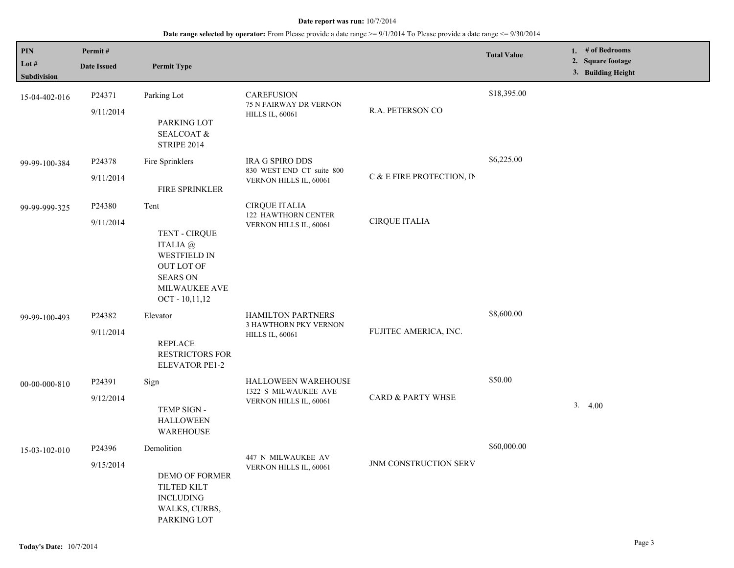| <b>PIN</b><br>Lot $#$<br>Subdivision | Permit#<br><b>Date Issued</b> | <b>Permit Type</b>                                                                                                                         |                                                                              |                              | <b>Total Value</b> | 1. # of Bedrooms<br>2. Square footage<br>3. Building Height |
|--------------------------------------|-------------------------------|--------------------------------------------------------------------------------------------------------------------------------------------|------------------------------------------------------------------------------|------------------------------|--------------------|-------------------------------------------------------------|
| 15-04-402-016                        | P24371<br>9/11/2014           | Parking Lot<br>PARKING LOT<br><b>SEALCOAT &amp;</b><br><b>STRIPE 2014</b>                                                                  | <b>CAREFUSION</b><br>75 N FAIRWAY DR VERNON<br><b>HILLS IL, 60061</b>        | R.A. PETERSON CO             | \$18,395.00        |                                                             |
| 99-99-100-384                        | P24378<br>9/11/2014           | Fire Sprinklers<br><b>FIRE SPRINKLER</b>                                                                                                   | IRA G SPIRO DDS<br>830 WEST END CT suite 800<br>VERNON HILLS IL, 60061       | C & E FIRE PROTECTION, IN    | \$6,225.00         |                                                             |
| 99-99-999-325                        | P24380<br>9/11/2014           | Tent<br>TENT - CIRQUE<br>ITALIA @<br><b>WESTFIELD IN</b><br><b>OUT LOT OF</b><br><b>SEARS ON</b><br><b>MILWAUKEE AVE</b><br>OCT - 10,11,12 | <b>CIRQUE ITALIA</b><br>122 HAWTHORN CENTER<br>VERNON HILLS IL, 60061        | <b>CIRQUE ITALIA</b>         |                    |                                                             |
| 99-99-100-493                        | P24382<br>9/11/2014           | Elevator<br><b>REPLACE</b><br><b>RESTRICTORS FOR</b><br>ELEVATOR PE1-2                                                                     | HAMILTON PARTNERS<br>3 HAWTHORN PKY VERNON<br><b>HILLS IL, 60061</b>         | FUJITEC AMERICA, INC.        | \$8,600.00         |                                                             |
| 00-00-000-810                        | P24391<br>9/12/2014           | Sign<br>TEMP SIGN -<br><b>HALLOWEEN</b><br><b>WAREHOUSE</b>                                                                                | <b>HALLOWEEN WAREHOUSE</b><br>1322 S MILWAUKEE AVE<br>VERNON HILLS IL, 60061 | <b>CARD &amp; PARTY WHSE</b> | \$50.00            | 3.4.00                                                      |
| 15-03-102-010                        | P24396<br>9/15/2014           | Demolition<br><b>DEMO OF FORMER</b><br><b>TILTED KILT</b><br><b>INCLUDING</b><br>WALKS, CURBS,<br>PARKING LOT                              | 447 N MILWAUKEE AV<br>VERNON HILLS IL, 60061                                 | JNM CONSTRUCTION SERV        | \$60,000.00        |                                                             |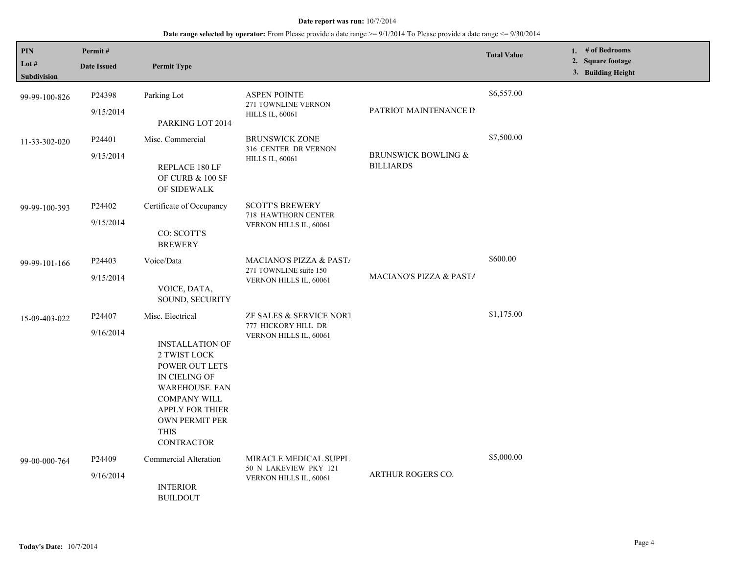| PIN<br>Lot #       | Permit#<br><b>Date Issued</b>              | <b>Permit Type</b>                                                                                                                                                                                               |                                                                                        |                          | <b>Total Value</b> | 1. # of Bedrooms<br>2. Square footage<br>3. Building Height |
|--------------------|--------------------------------------------|------------------------------------------------------------------------------------------------------------------------------------------------------------------------------------------------------------------|----------------------------------------------------------------------------------------|--------------------------|--------------------|-------------------------------------------------------------|
| <b>Subdivision</b> |                                            |                                                                                                                                                                                                                  |                                                                                        |                          |                    |                                                             |
| 99-99-100-826      | P24398                                     | Parking Lot                                                                                                                                                                                                      | <b>ASPEN POINTE</b><br>271 TOWNLINE VERNON                                             | PATRIOT MAINTENANCE IN   | \$6,557.00         |                                                             |
|                    | 9/15/2014                                  | PARKING LOT 2014                                                                                                                                                                                                 | <b>HILLS IL, 60061</b>                                                                 |                          |                    |                                                             |
| 11-33-302-020      | P24401                                     | Misc. Commercial                                                                                                                                                                                                 | <b>BRUNSWICK ZONE</b><br>316 CENTER DR VERNON                                          |                          | \$7,500.00         |                                                             |
|                    | 9/15/2014<br>REPLACE 180 LF<br>OF SIDEWALK | OF CURB & 100 SF                                                                                                                                                                                                 | <b>BRUNSWICK BOWLING &amp;</b><br><b>HILLS IL, 60061</b><br><b>BILLIARDS</b>           |                          |                    |                                                             |
| 99-99-100-393      | P <sub>24402</sub>                         | Certificate of Occupancy                                                                                                                                                                                         | <b>SCOTT'S BREWERY</b><br><b>718 HAWTHORN CENTER</b>                                   |                          |                    |                                                             |
|                    | 9/15/2014                                  | CO: SCOTT'S<br><b>BREWERY</b>                                                                                                                                                                                    | VERNON HILLS IL, 60061                                                                 |                          |                    |                                                             |
| 99-99-101-166      | P24403                                     | Voice/Data<br>VOICE, DATA,<br>SOUND, SECURITY                                                                                                                                                                    | <b>MACIANO'S PIZZA &amp; PAST/</b><br>271 TOWNLINE suite 150<br>VERNON HILLS IL, 60061 |                          | \$600.00           |                                                             |
|                    | 9/15/2014                                  |                                                                                                                                                                                                                  |                                                                                        | MACIANO'S PIZZA & PASTA  |                    |                                                             |
| 15-09-403-022      | P <sub>24407</sub>                         | Misc. Electrical                                                                                                                                                                                                 | ZF SALES & SERVICE NORT<br>777 HICKORY HILL DR                                         |                          | \$1,175.00         |                                                             |
|                    | 9/16/2014                                  | <b>INSTALLATION OF</b><br>2 TWIST LOCK<br><b>POWER OUT LETS</b><br>IN CIELING OF<br><b>WAREHOUSE. FAN</b><br><b>COMPANY WILL</b><br><b>APPLY FOR THIER</b><br>OWN PERMIT PER<br><b>THIS</b><br><b>CONTRACTOR</b> | VERNON HILLS IL, 60061                                                                 |                          |                    |                                                             |
| 99-00-000-764      | P24409                                     | Commercial Alteration                                                                                                                                                                                            | MIRACLE MEDICAL SUPPL<br>50 N LAKEVIEW PKY 121                                         |                          | \$5,000.00         |                                                             |
|                    | 9/16/2014                                  | <b>INTERIOR</b><br><b>BUILDOUT</b>                                                                                                                                                                               | VERNON HILLS IL, 60061                                                                 | <b>ARTHUR ROGERS CO.</b> |                    |                                                             |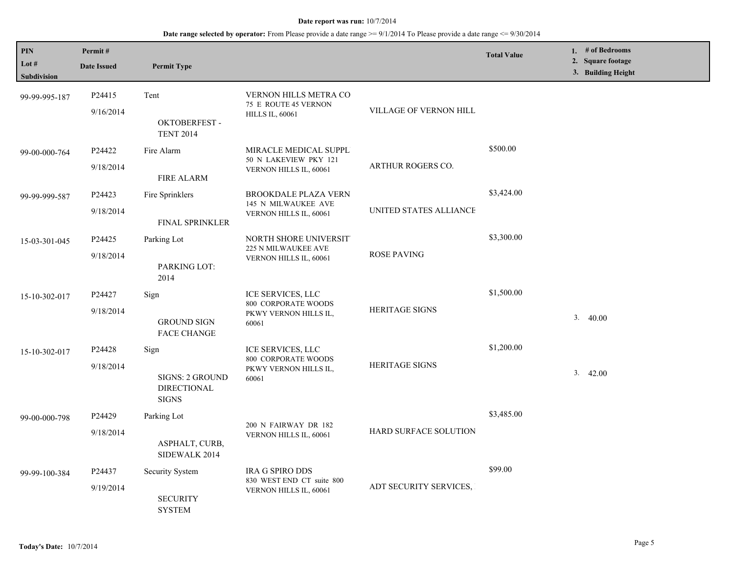| <b>PIN</b><br>Lot $#$<br><b>Subdivision</b> | Permit#<br><b>Date Issued</b> | <b>Permit Type</b>                                                   |                                                                                   |                              | <b>Total Value</b> | 1. # of Bedrooms<br>2. Square footage<br>3. Building Height |
|---------------------------------------------|-------------------------------|----------------------------------------------------------------------|-----------------------------------------------------------------------------------|------------------------------|--------------------|-------------------------------------------------------------|
| 99-99-995-187                               | P24415<br>9/16/2014           | Tent<br>OKTOBERFEST -<br><b>TENT 2014</b>                            | VERNON HILLS METRA CO<br>75 E ROUTE 45 VERNON<br><b>HILLS IL, 60061</b>           | VILLAGE OF VERNON HILL       |                    |                                                             |
| 99-00-000-764                               | P24422<br>9/18/2014           | Fire Alarm<br><b>FIRE ALARM</b>                                      | MIRACLE MEDICAL SUPPL<br>50 N LAKEVIEW PKY 121<br>VERNON HILLS IL, 60061          | <b>ARTHUR ROGERS CO.</b>     | \$500.00           |                                                             |
| 99-99-999-587                               | P24423<br>9/18/2014           | Fire Sprinklers<br>FINAL SPRINKLER                                   | <b>BROOKDALE PLAZA VERN</b><br>145 N MILWAUKEE AVE<br>VERNON HILLS IL, 60061      | UNITED STATES ALLIANCE       | \$3,424.00         |                                                             |
| 15-03-301-045                               | P24425<br>9/18/2014           | Parking Lot<br>PARKING LOT:<br>2014                                  | NORTH SHORE UNIVERSIT<br>225 N MILWAUKEE AVE<br>VERNON HILLS IL, 60061            | <b>ROSE PAVING</b>           | \$3,300.00         |                                                             |
| 15-10-302-017                               | P24427<br>9/18/2014           | Sign<br><b>GROUND SIGN</b><br><b>FACE CHANGE</b>                     | ICE SERVICES, LLC<br><b>800 CORPORATE WOODS</b><br>PKWY VERNON HILLS IL,<br>60061 | <b>HERITAGE SIGNS</b>        | \$1,500.00         | 3.<br>40.00                                                 |
| 15-10-302-017                               | P24428<br>9/18/2014           | Sign<br><b>SIGNS: 2 GROUND</b><br><b>DIRECTIONAL</b><br><b>SIGNS</b> | ICE SERVICES, LLC<br>800 CORPORATE WOODS<br>PKWY VERNON HILLS IL,<br>60061        | <b>HERITAGE SIGNS</b>        | \$1,200.00         | 3.42.00                                                     |
| 99-00-000-798                               | P24429<br>9/18/2014           | Parking Lot<br>ASPHALT, CURB,<br>SIDEWALK 2014                       | 200 N FAIRWAY DR 182<br>VERNON HILLS IL, 60061                                    | <b>HARD SURFACE SOLUTION</b> | \$3,485.00         |                                                             |
| 99-99-100-384                               | P24437<br>9/19/2014           | Security System<br><b>SECURITY</b><br><b>SYSTEM</b>                  | <b>IRA G SPIRO DDS</b><br>830 WEST END CT suite 800<br>VERNON HILLS IL, 60061     | ADT SECURITY SERVICES,       | \$99.00            |                                                             |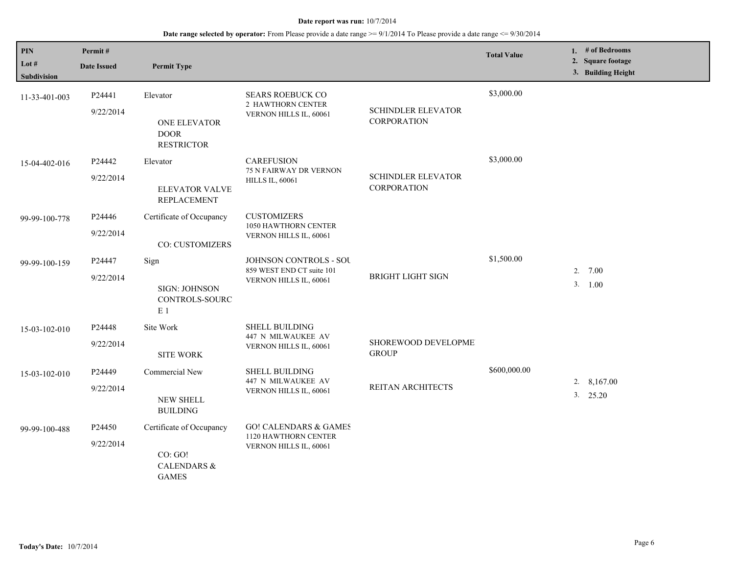| <b>PIN</b><br>Lot $#$<br><b>Subdivision</b> | Permit#<br><b>Date Issued</b>   | <b>Permit Type</b>                                                            |                                                                                    |                                                 | <b>Total Value</b> | 1. # of Bedrooms<br>2. Square footage<br>3. Building Height |
|---------------------------------------------|---------------------------------|-------------------------------------------------------------------------------|------------------------------------------------------------------------------------|-------------------------------------------------|--------------------|-------------------------------------------------------------|
| 11-33-401-003                               | P24441<br>9/22/2014             | Elevator<br>ONE ELEVATOR<br><b>DOOR</b><br><b>RESTRICTOR</b>                  | <b>SEARS ROEBUCK CO</b><br>2 HAWTHORN CENTER<br>VERNON HILLS IL, 60061             | <b>SCHINDLER ELEVATOR</b><br><b>CORPORATION</b> | \$3,000.00         |                                                             |
| 15-04-402-016                               | P24442<br>9/22/2014             | Elevator<br><b>ELEVATOR VALVE</b><br><b>REPLACEMENT</b>                       | <b>CAREFUSION</b><br>75 N FAIRWAY DR VERNON<br><b>HILLS IL, 60061</b>              | <b>SCHINDLER ELEVATOR</b><br><b>CORPORATION</b> | \$3,000.00         |                                                             |
| 99-99-100-778                               | P <sub>24446</sub><br>9/22/2014 | Certificate of Occupancy<br>CO: CUSTOMIZERS                                   | <b>CUSTOMIZERS</b><br>1050 HAWTHORN CENTER<br>VERNON HILLS IL, 60061               |                                                 |                    |                                                             |
| 99-99-100-159                               | P24447<br>9/22/2014             | Sign<br>SIGN: JOHNSON<br>CONTROLS-SOURC<br>E <sub>1</sub>                     | JOHNSON CONTROLS - SOU<br>859 WEST END CT suite 101<br>VERNON HILLS IL, 60061      | <b>BRIGHT LIGHT SIGN</b>                        | \$1,500.00         | 7.00<br>2.<br>3. 1.00                                       |
| 15-03-102-010                               | P24448<br>9/22/2014             | Site Work<br><b>SITE WORK</b>                                                 | <b>SHELL BUILDING</b><br>447 N MILWAUKEE AV<br>VERNON HILLS IL, 60061              | SHOREWOOD DEVELOPME<br><b>GROUP</b>             |                    |                                                             |
| 15-03-102-010                               | P24449<br>9/22/2014             | Commercial New<br><b>NEW SHELL</b><br><b>BUILDING</b>                         | SHELL BUILDING<br>447 N MILWAUKEE AV<br>VERNON HILLS IL, 60061                     | REITAN ARCHITECTS                               | \$600,000.00       | 8,167.00<br>2.<br>3. 25.20                                  |
| 99-99-100-488                               | P24450<br>9/22/2014             | Certificate of Occupancy<br>CO: GO!<br><b>CALENDARS &amp;</b><br><b>GAMES</b> | <b>GO! CALENDARS &amp; GAMES</b><br>1120 HAWTHORN CENTER<br>VERNON HILLS IL, 60061 |                                                 |                    |                                                             |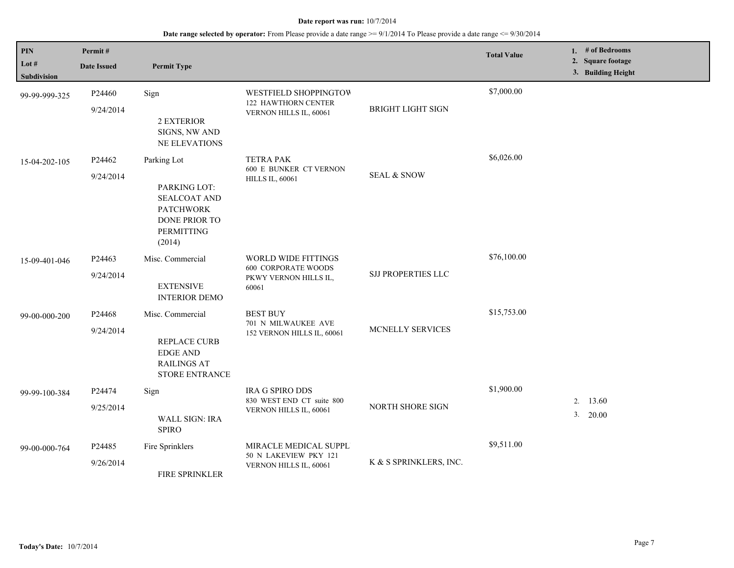| <b>PIN</b><br>Lot #<br>Subdivision | Permit#<br><b>Date Issued</b> | <b>Permit Type</b>                                                                                              |                                                                                     |                          | <b>Total Value</b> | 1. $#$ of Bedrooms<br>2. Square footage<br>3. Building Height |
|------------------------------------|-------------------------------|-----------------------------------------------------------------------------------------------------------------|-------------------------------------------------------------------------------------|--------------------------|--------------------|---------------------------------------------------------------|
| 99-99-999-325                      | P24460<br>9/24/2014           | Sign<br>2 EXTERIOR<br>SIGNS, NW AND<br>NE ELEVATIONS                                                            | WESTFIELD SHOPPINGTOW<br>122 HAWTHORN CENTER<br>VERNON HILLS IL, 60061              | <b>BRIGHT LIGHT SIGN</b> | \$7,000.00         |                                                               |
| 15-04-202-105                      | P24462<br>9/24/2014           | Parking Lot<br>PARKING LOT:<br><b>SEALCOAT AND</b><br><b>PATCHWORK</b><br>DONE PRIOR TO<br>PERMITTING<br>(2014) | <b>TETRA PAK</b><br>600 E BUNKER CT VERNON<br><b>HILLS IL, 60061</b>                | <b>SEAL &amp; SNOW</b>   | \$6,026.00         |                                                               |
| 15-09-401-046                      | P24463<br>9/24/2014           | Misc. Commercial<br><b>EXTENSIVE</b><br><b>INTERIOR DEMO</b>                                                    | WORLD WIDE FITTINGS<br><b>600 CORPORATE WOODS</b><br>PKWY VERNON HILLS IL,<br>60061 | SJJ PROPERTIES LLC       | \$76,100.00        |                                                               |
| 99-00-000-200                      | P24468<br>9/24/2014           | Misc. Commercial<br><b>REPLACE CURB</b><br><b>EDGE AND</b><br><b>RAILINGS AT</b><br><b>STORE ENTRANCE</b>       | <b>BEST BUY</b><br>701 N MILWAUKEE AVE<br>152 VERNON HILLS IL, 60061                | MCNELLY SERVICES         | \$15,753.00        |                                                               |
| 99-99-100-384                      | P24474<br>9/25/2014           | Sign<br><b>WALL SIGN: IRA</b><br><b>SPIRO</b>                                                                   | <b>IRA G SPIRO DDS</b><br>830 WEST END CT suite 800<br>VERNON HILLS IL, 60061       | NORTH SHORE SIGN         | \$1,900.00         | 13.60<br>2 <sub>1</sub><br>3.<br>20.00                        |
| 99-00-000-764                      | P24485<br>9/26/2014           | Fire Sprinklers<br>FIRE SPRINKLER                                                                               | MIRACLE MEDICAL SUPPL<br>50 N LAKEVIEW PKY 121<br>VERNON HILLS IL, 60061            | K & S SPRINKLERS, INC.   | \$9,511.00         |                                                               |